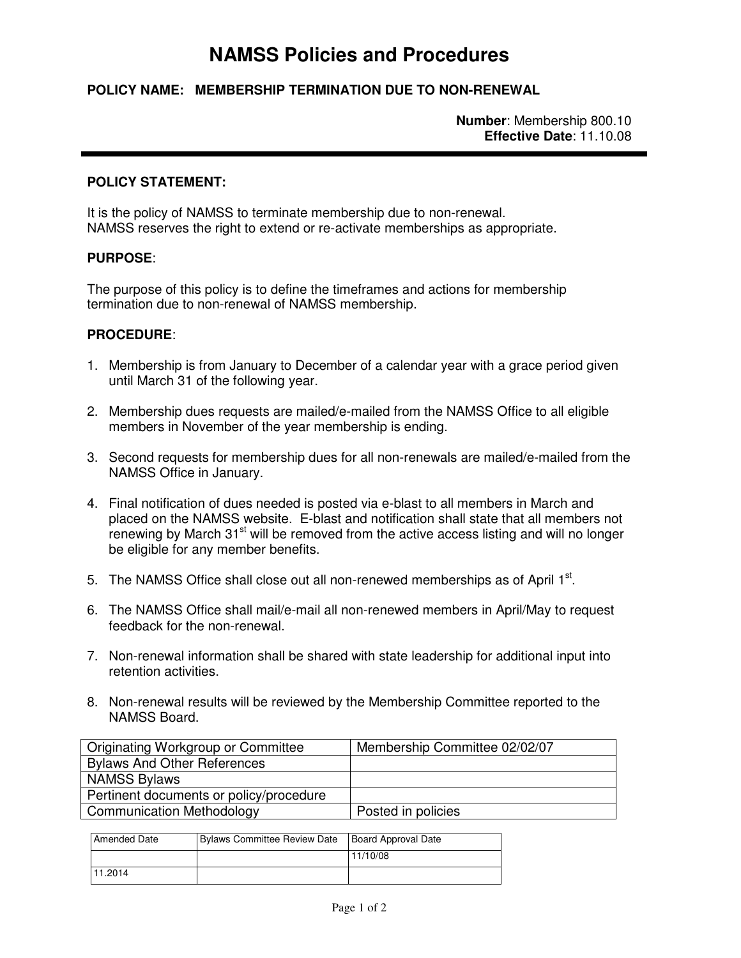# **NAMSS Policies and Procedures**

## **POLICY NAME: MEMBERSHIP TERMINATION DUE TO NON-RENEWAL**

**Number**: Membership 800.10 **Effective Date**: 11.10.08

#### **POLICY STATEMENT:**

It is the policy of NAMSS to terminate membership due to non-renewal. NAMSS reserves the right to extend or re-activate memberships as appropriate.

#### **PURPOSE**:

The purpose of this policy is to define the timeframes and actions for membership termination due to non-renewal of NAMSS membership.

### **PROCEDURE**:

- 1. Membership is from January to December of a calendar year with a grace period given until March 31 of the following year.
- 2. Membership dues requests are mailed/e-mailed from the NAMSS Office to all eligible members in November of the year membership is ending.
- 3. Second requests for membership dues for all non-renewals are mailed/e-mailed from the NAMSS Office in January.
- 4. Final notification of dues needed is posted via e-blast to all members in March and placed on the NAMSS website. E-blast and notification shall state that all members not renewing by March  $31<sup>st</sup>$  will be removed from the active access listing and will no longer be eligible for any member benefits.
- 5. The NAMSS Office shall close out all non-renewed memberships as of April  $1<sup>st</sup>$ .
- 6. The NAMSS Office shall mail/e-mail all non-renewed members in April/May to request feedback for the non-renewal.
- 7. Non-renewal information shall be shared with state leadership for additional input into retention activities.
- 8. Non-renewal results will be reviewed by the Membership Committee reported to the NAMSS Board.

| Originating Workgroup or Committee      | Membership Committee 02/02/07 |
|-----------------------------------------|-------------------------------|
| <b>Bylaws And Other References</b>      |                               |
| <b>NAMSS Bylaws</b>                     |                               |
| Pertinent documents or policy/procedure |                               |
| <b>Communication Methodology</b>        | Posted in policies            |

| <b>Amended Date</b> | Bylaws Committee Review Date | Board Approval Date |
|---------------------|------------------------------|---------------------|
|                     |                              | 11/10/08            |
| 11.2014             |                              |                     |